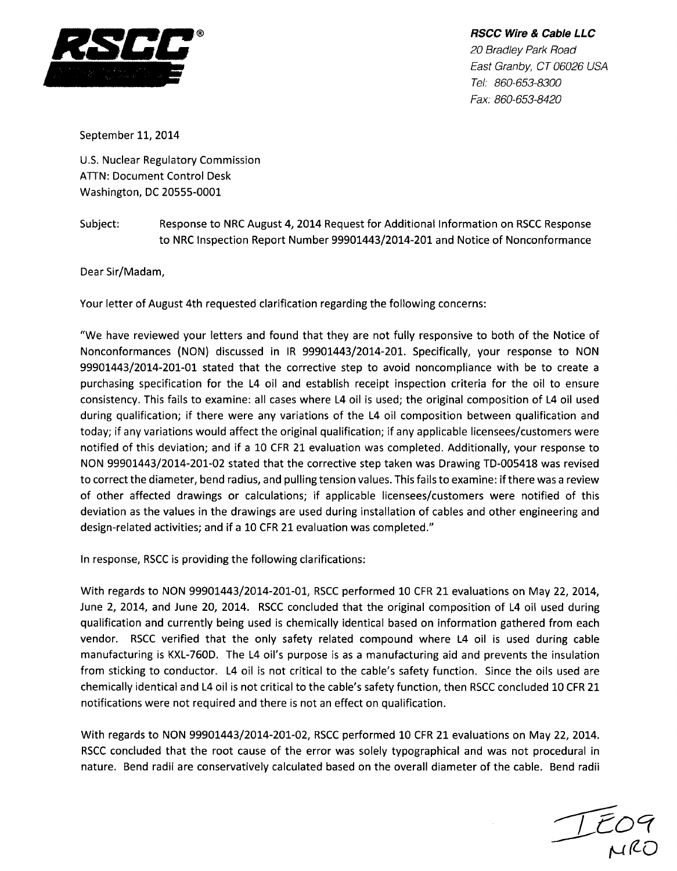

**RSCC Wire & Cable** *LLC 20 Bradley Park Road East Granby, CT 06026 USA Tel: 860-653-8300 Fax: 860-653-8420*

September 11, 2014

U.S. Nuclear Regulatory Commission ATTN: Document Control Desk Washington, DC 20555-0001

Subject: Response to NRC August 4, 2014 Request for Additional Information on RSCC Response to NRC Inspection Report Number 99901443/2014-201 and Notice of Nonconformance

Dear Sir/Madam,

Your letter of August 4th requested clarification regarding the following concerns:

"We have reviewed your letters and found that they are not fully responsive to both of the Notice of Nonconformances (NON) discussed in IR 99901443/2014-201. Specifically, your response to NON 99901443/2014-201-01 stated that the corrective step to avoid noncompliance with be to create a purchasing specification for the L4 oil and establish receipt inspection criteria for the oil to ensure consistency. This fails to examine: all cases where L4 oil is used; the original composition of L4 oil used during qualification; if there were any variations of the L4 oil composition between qualification and today; if any variations would affect the original qualification; if any applicable licensees/customers were notified of this deviation; and if a 10 CFR 21 evaluation was completed. Additionally, your response to NON 99901443/2014-201-02 stated that the corrective step taken was Drawing TD-005418 was revised to correct the diameter, bend radius, and pulling tension values. This fails to examine: if there was a review of other affected drawings or calculations; if applicable licensees/customers were notified of this deviation as the values in the drawings are used during installation of cables and other engineering and design-related activities; and if a 10 CFR 21 evaluation was completed."

In response, RSCC is providing the following clarifications:

With regards to NON 99901443/2014-201-01, RSCC performed 10 CFR 21 evaluations on May 22, 2014, June 2, 2014, and June 20, 2014. RSCC concluded that the original composition of L4 oil used during qualification and currently being used is chemically identical based on information gathered from each vendor. RSCC verified that the only safety related compound where L4 oil is used during cable manufacturing is KXL-760D. The L4 oil's purpose is as a manufacturing aid and prevents the insulation from sticking to conductor. L4 oil is not critical to the cable's safety function. Since the oils used are chemically identical and L4 oil is not critical to the cable's safety function, then RSCC concluded 10 CFR 21 notifications were not required and there is not an effect on qualification.

With regards to NON 99901443/2014-201-02, RSCC performed 10 CFR 21 evaluations on May 22, 2014. RSCC concluded that the root cause of the error was solely typographical and was not procedural in nature. Bend radii are conservatively calculated based on the overall diameter of the cable. Bend radii

 $TCO9$